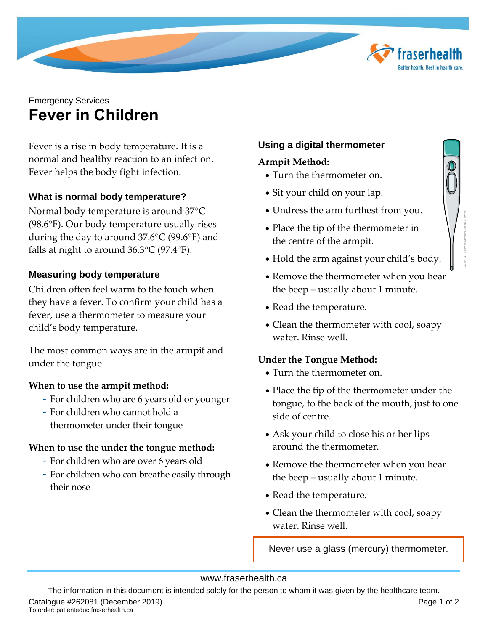

# Emergency Services **Fever in Children**

Fever is a rise in body temperature. It is a normal and healthy reaction to an infection. Fever helps the body fight infection.

#### **What is normal body temperature?**

Normal body temperature is around 37°C  $(98.6^{\circ}F)$ . Our body temperature usually rises during the day to around  $37.6^{\circ}$ C (99.6 $^{\circ}$ F) and falls at night to around  $36.3^{\circ}$ C (97.4 $^{\circ}$ F).

#### **Measuring body temperature**

Children often feel warm to the touch when they have a fever. To confirm your child has a fever, use a thermometer to measure your child's body temperature.

The most common ways are in the armpit and under the tongue.

#### **When to use the armpit method:**

- For children who are 6 years old or younger
- For children who cannot hold a thermometer under their tongue

#### **When to use the under the tongue method:**

- For children who are over 6 years old
- For children who can breathe easily through their nose

### **Using a digital thermometer**

#### **Armpit Method:**

- Turn the thermometer on.
- Sit your child on your lap.
- Undress the arm furthest from you.
- Place the tip of the thermometer in the centre of the armpit.
- Hold the arm against your child's body.
- Remove the thermometer when you hear the beep – usually about 1 minute.
- Read the temperature.
- Clean the thermometer with cool, soapy water. Rinse well.

### **Under the Tongue Method:**

- Turn the thermometer on.
- Place the tip of the thermometer under the tongue, to the back of the mouth, just to one side of centre.
- Ask your child to close his or her lips around the thermometer.
- Remove the thermometer when you hear the beep – usually about 1 minute.
- Read the temperature.
- Clean the thermometer with cool, soapy water. Rinse well.

Never use a glass (mercury) thermometer.

#### www.fraserhealth.ca

The information in this document is intended solely for the person to whom it was given by the healthcare team.